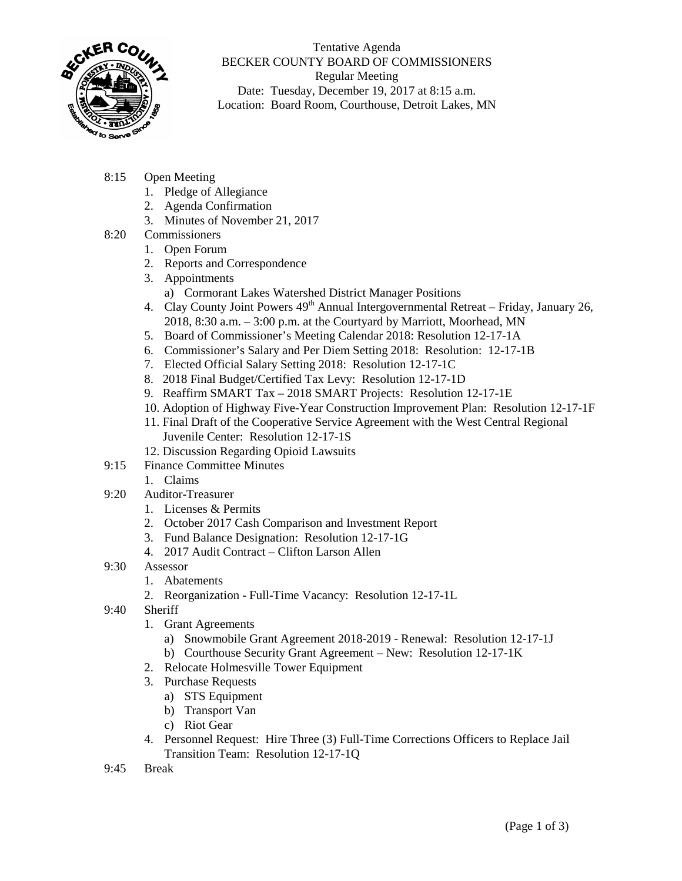

Tentative Agenda BECKER COUNTY BOARD OF COMMISSIONERS Regular Meeting Date: Tuesday, December 19, 2017 at 8:15 a.m. Location: Board Room, Courthouse, Detroit Lakes, MN

- 8:15 Open Meeting
	- 1. Pledge of Allegiance
	- 2. Agenda Confirmation
	- 3. Minutes of November 21, 2017
- 8:20 Commissioners
	- 1. Open Forum
	- 2. Reports and Correspondence
	- 3. Appointments
		- a) Cormorant Lakes Watershed District Manager Positions
	- 4. Clay County Joint Powers  $49<sup>th</sup>$  Annual Intergovernmental Retreat Friday, January 26, 2018, 8:30 a.m. – 3:00 p.m. at the Courtyard by Marriott, Moorhead, MN
	- 5. Board of Commissioner's Meeting Calendar 2018: Resolution 12-17-1A
	- 6. Commissioner's Salary and Per Diem Setting 2018: Resolution: 12-17-1B
	- 7. Elected Official Salary Setting 2018: Resolution 12-17-1C
	- 8. 2018 Final Budget/Certified Tax Levy: Resolution 12-17-1D
	- 9. Reaffirm SMART Tax 2018 SMART Projects: Resolution 12-17-1E
	- 10. Adoption of Highway Five-Year Construction Improvement Plan: Resolution 12-17-1F
	- 11. Final Draft of the Cooperative Service Agreement with the West Central Regional Juvenile Center: Resolution 12-17-1S
	- 12. Discussion Regarding Opioid Lawsuits
- 9:15 Finance Committee Minutes
	- 1. Claims
- 9:20 Auditor-Treasurer
	- 1. Licenses & Permits
	- 2. October 2017 Cash Comparison and Investment Report
	- 3. Fund Balance Designation: Resolution 12-17-1G
	- 4. 2017 Audit Contract Clifton Larson Allen
- 9:30 Assessor
	- 1. Abatements
	- 2. Reorganization Full-Time Vacancy: Resolution 12-17-1L
- 9:40 Sheriff
	- 1. Grant Agreements
		- a) Snowmobile Grant Agreement 2018-2019 Renewal: Resolution 12-17-1J
		- b) Courthouse Security Grant Agreement New: Resolution 12-17-1K
	- 2. Relocate Holmesville Tower Equipment
	- 3. Purchase Requests
		- a) STS Equipment
		- b) Transport Van
		- c) Riot Gear
	- 4. Personnel Request: Hire Three (3) Full-Time Corrections Officers to Replace Jail Transition Team: Resolution 12-17-1Q
- 9:45 Break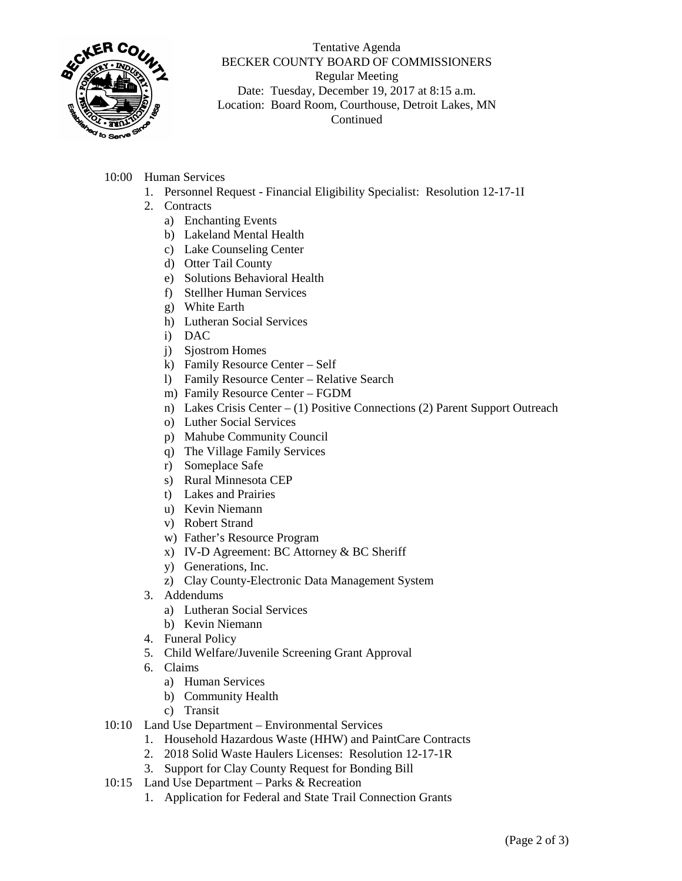

## Tentative Agenda BECKER COUNTY BOARD OF COMMISSIONERS Regular Meeting Date: Tuesday, December 19, 2017 at 8:15 a.m. Location: Board Room, Courthouse, Detroit Lakes, MN Continued

- 10:00 Human Services
	- 1. Personnel Request Financial Eligibility Specialist: Resolution 12-17-1I
	- 2. Contracts
		- a) Enchanting Events
		- b) Lakeland Mental Health
		- c) Lake Counseling Center
		- d) Otter Tail County
		- e) Solutions Behavioral Health
		- f) Stellher Human Services
		- g) White Earth
		- h) Lutheran Social Services
		- i) DAC
		- j) Sjostrom Homes
		- k) Family Resource Center Self
		- l) Family Resource Center Relative Search
		- m) Family Resource Center FGDM
		- n) Lakes Crisis Center (1) Positive Connections (2) Parent Support Outreach
		- o) Luther Social Services
		- p) Mahube Community Council
		- q) The Village Family Services
		- r) Someplace Safe
		- s) Rural Minnesota CEP
		- t) Lakes and Prairies
		- u) Kevin Niemann
		- v) Robert Strand
		- w) Father's Resource Program
		- x) IV-D Agreement: BC Attorney & BC Sheriff
		- y) Generations, Inc.
		- z) Clay County-Electronic Data Management System
	- 3. Addendums
		- a) Lutheran Social Services
		- b) Kevin Niemann
	- 4. Funeral Policy
	- 5. Child Welfare/Juvenile Screening Grant Approval
	- 6. Claims
		- a) Human Services
		- b) Community Health
		- c) Transit
- 10:10 Land Use Department Environmental Services
	- 1. Household Hazardous Waste (HHW) and PaintCare Contracts
	- 2. 2018 Solid Waste Haulers Licenses: Resolution 12-17-1R
	- 3. Support for Clay County Request for Bonding Bill
- 10:15 Land Use Department Parks & Recreation
	- 1. Application for Federal and State Trail Connection Grants